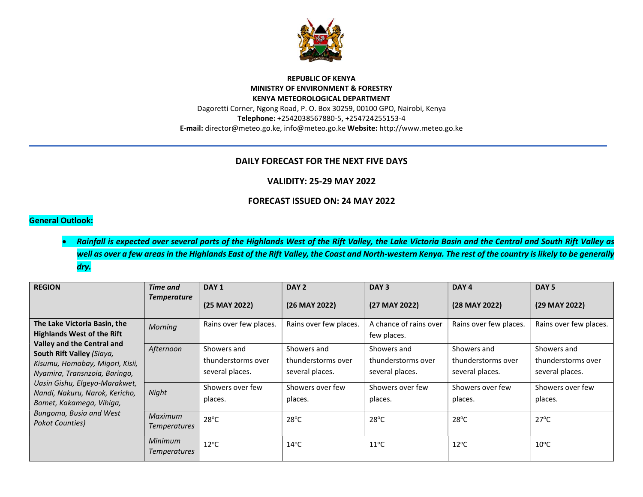

#### REPUBLIC OF KENYA MINISTRY OF ENVIRONMENT & FORESTRY KENYA METEOROLOGICAL DEPARTMENT Dagoretti Corner, Ngong Road, P. O. Box 30259, 00100 GPO, Nairobi, Kenya Telephone: +2542038567880-5, +254724255153-4 E-mail: director@meteo.go.ke, info@meteo.go.ke Website: http://www.meteo.go.ke

## DAILY FORECAST FOR THE NEXT FIVE DAYS

#### VALIDITY: 25-29 MAY 2022

### FORECAST ISSUED ON: 24 MAY 2022

### General Outlook:

## Rainfall is expected over several parts of the Highlands West of the Rift Valley, the Lake Victoria Basin and the Central and South Rift Valley as well as over a few areas in the Highlands East of the Rift Valley, the Coast and North-western Kenya. The rest of the country is likely to be generally dry.

| <b>REGION</b>                                                                                                                                                                                                                                                                                                                                 | Time and<br><b>Temperature</b> | DAY <sub>1</sub><br>(25 MAY 2022)                    | DAY <sub>2</sub><br>(26 MAY 2022)                    | DAY <sub>3</sub><br>(27 MAY 2022)                    | DAY 4<br>(28 MAY 2022)                               | DAY <sub>5</sub><br>(29 MAY 2022)                    |
|-----------------------------------------------------------------------------------------------------------------------------------------------------------------------------------------------------------------------------------------------------------------------------------------------------------------------------------------------|--------------------------------|------------------------------------------------------|------------------------------------------------------|------------------------------------------------------|------------------------------------------------------|------------------------------------------------------|
| The Lake Victoria Basin, the<br><b>Highlands West of the Rift</b><br>Valley and the Central and<br>South Rift Valley (Siaya,<br>Kisumu, Homabay, Migori, Kisii,<br>Nyamira, Transnzoia, Baringo,<br>Uasin Gishu, Elgeyo-Marakwet,<br>Nandi, Nakuru, Narok, Kericho,<br>Bomet, Kakamega, Vihiga,<br>Bungoma, Busia and West<br>Pokot Counties) | <b>Morning</b>                 | Rains over few places.                               | Rains over few places.                               | A chance of rains over<br>few places.                | Rains over few places.                               | Rains over few places.                               |
|                                                                                                                                                                                                                                                                                                                                               | Afternoon                      | Showers and<br>thunderstorms over<br>several places. | Showers and<br>thunderstorms over<br>several places. | Showers and<br>thunderstorms over<br>several places. | Showers and<br>thunderstorms over<br>several places. | Showers and<br>thunderstorms over<br>several places. |
|                                                                                                                                                                                                                                                                                                                                               | Night                          | Showers over few<br>places.                          | Showers over few<br>places.                          | Showers over few<br>places.                          | Showers over few<br>places.                          | Showers over few<br>places.                          |
|                                                                                                                                                                                                                                                                                                                                               | Maximum<br><b>Temperatures</b> | $28^{\circ}$ C                                       | $28^{\circ}$ C                                       | $28^{\circ}$ C                                       | $28^{\circ}$ C                                       | $27^{\circ}$ C                                       |
|                                                                                                                                                                                                                                                                                                                                               | Minimum<br><b>Temperatures</b> | $12^{\circ}$ C                                       | $14^{\circ}$ C                                       | $11^{\circ}$ C                                       | $12^{\circ}$ C                                       | $10^{\circ}$ C                                       |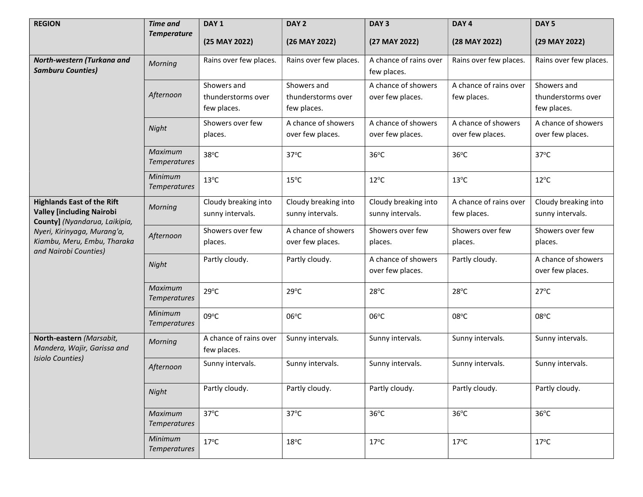| <b>REGION</b>                                                                                                                                                                                 | <b>Time and</b>                | DAY <sub>1</sub>                                 | DAY <sub>2</sub>                                 | DAY <sub>3</sub>                         | DAY <sub>4</sub>                        | DAY <sub>5</sub>                                 |
|-----------------------------------------------------------------------------------------------------------------------------------------------------------------------------------------------|--------------------------------|--------------------------------------------------|--------------------------------------------------|------------------------------------------|-----------------------------------------|--------------------------------------------------|
|                                                                                                                                                                                               | <b>Temperature</b>             | (25 MAY 2022)                                    | (26 MAY 2022)                                    | (27 MAY 2022)                            | (28 MAY 2022)                           | (29 MAY 2022)                                    |
| North-western (Turkana and<br><b>Samburu Counties)</b>                                                                                                                                        | Morning                        | Rains over few places.                           | Rains over few places.                           | A chance of rains over<br>few places.    | Rains over few places.                  | Rains over few places.                           |
|                                                                                                                                                                                               | Afternoon                      | Showers and<br>thunderstorms over<br>few places. | Showers and<br>thunderstorms over<br>few places. | A chance of showers<br>over few places.  | A chance of rains over<br>few places.   | Showers and<br>thunderstorms over<br>few places. |
|                                                                                                                                                                                               | Night                          | Showers over few<br>places.                      | A chance of showers<br>over few places.          | A chance of showers<br>over few places.  | A chance of showers<br>over few places. | A chance of showers<br>over few places.          |
|                                                                                                                                                                                               | Maximum<br><b>Temperatures</b> | 38°C                                             | $37^{\circ}$ C                                   | $36^{\circ}$ C                           | $36^{\circ}$ C                          | $37^{\circ}$ C                                   |
|                                                                                                                                                                                               | Minimum<br><b>Temperatures</b> | $13^{\circ}$ C                                   | $15^{\circ}$ C                                   | $12^{\circ}$ C                           | $13^{\circ}$ C                          | $12^{\circ}$ C                                   |
| <b>Highlands East of the Rift</b><br><b>Valley [including Nairobi</b><br>County] (Nyandarua, Laikipia,<br>Nyeri, Kirinyaga, Murang'a,<br>Kiambu, Meru, Embu, Tharaka<br>and Nairobi Counties) | <b>Morning</b>                 | Cloudy breaking into<br>sunny intervals.         | Cloudy breaking into<br>sunny intervals.         | Cloudy breaking into<br>sunny intervals. | A chance of rains over<br>few places.   | Cloudy breaking into<br>sunny intervals.         |
|                                                                                                                                                                                               | Afternoon                      | Showers over few<br>places.                      | A chance of showers<br>over few places.          | Showers over few<br>places.              | Showers over few<br>places.             | Showers over few<br>places.                      |
|                                                                                                                                                                                               | Night                          | Partly cloudy.                                   | Partly cloudy.                                   | A chance of showers<br>over few places.  | Partly cloudy.                          | A chance of showers<br>over few places.          |
|                                                                                                                                                                                               | Maximum<br><b>Temperatures</b> | $29^{\circ}C$                                    | $29^{\circ}$ C                                   | $28^{\circ}$ C                           | $28^{\circ}$ C                          | $27^{\circ}$ C                                   |
|                                                                                                                                                                                               | Minimum<br><b>Temperatures</b> | 09°C                                             | 06°C                                             | $06^{\circ}$ C                           | 08°C                                    | $08^{\circ}$ C                                   |
| North-eastern (Marsabit,<br>Mandera, Wajir, Garissa and<br><b>Isiolo Counties)</b>                                                                                                            | Morning                        | A chance of rains over<br>few places.            | Sunny intervals.                                 | Sunny intervals.                         | Sunny intervals.                        | Sunny intervals.                                 |
|                                                                                                                                                                                               | Afternoon                      | Sunny intervals.                                 | Sunny intervals.                                 | Sunny intervals.                         | Sunny intervals.                        | Sunny intervals.                                 |
|                                                                                                                                                                                               | Night                          | Partly cloudy.                                   | Partly cloudy.                                   | Partly cloudy.                           | Partly cloudy.                          | Partly cloudy.                                   |
|                                                                                                                                                                                               | Maximum<br><b>Temperatures</b> | 37°C                                             | $37^{\circ}$ C                                   | $36^{\circ}$ C                           | $36^{\circ}$ C                          | $36^{\circ}$ C                                   |
|                                                                                                                                                                                               | Minimum<br><b>Temperatures</b> | $17^{\circ}$ C                                   | $18^{\circ}$ C                                   | $17^{\circ}$ C                           | $17^{\circ}$ C                          | $17^{\circ}$ C                                   |